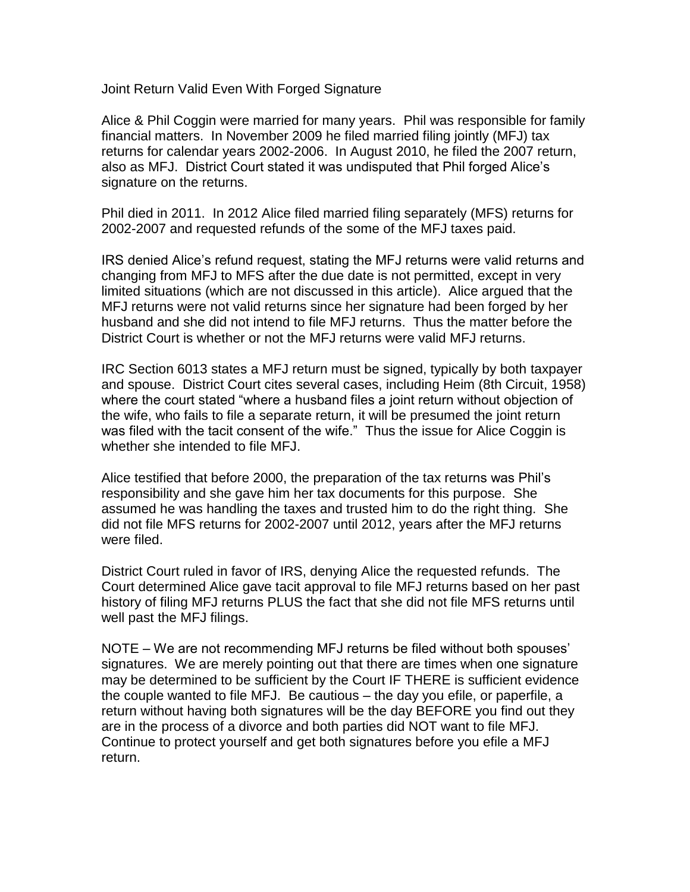Joint Return Valid Even With Forged Signature

Alice & Phil Coggin were married for many years. Phil was responsible for family financial matters. In November 2009 he filed married filing jointly (MFJ) tax returns for calendar years 2002-2006. In August 2010, he filed the 2007 return, also as MFJ. District Court stated it was undisputed that Phil forged Alice's signature on the returns.

Phil died in 2011. In 2012 Alice filed married filing separately (MFS) returns for 2002-2007 and requested refunds of the some of the MFJ taxes paid.

IRS denied Alice's refund request, stating the MFJ returns were valid returns and changing from MFJ to MFS after the due date is not permitted, except in very limited situations (which are not discussed in this article). Alice argued that the MFJ returns were not valid returns since her signature had been forged by her husband and she did not intend to file MFJ returns. Thus the matter before the District Court is whether or not the MFJ returns were valid MFJ returns.

IRC Section 6013 states a MFJ return must be signed, typically by both taxpayer and spouse. District Court cites several cases, including Heim (8th Circuit, 1958) where the court stated "where a husband files a joint return without objection of the wife, who fails to file a separate return, it will be presumed the joint return was filed with the tacit consent of the wife." Thus the issue for Alice Coggin is whether she intended to file MFJ.

Alice testified that before 2000, the preparation of the tax returns was Phil's responsibility and she gave him her tax documents for this purpose. She assumed he was handling the taxes and trusted him to do the right thing. She did not file MFS returns for 2002-2007 until 2012, years after the MFJ returns were filed.

District Court ruled in favor of IRS, denying Alice the requested refunds. The Court determined Alice gave tacit approval to file MFJ returns based on her past history of filing MFJ returns PLUS the fact that she did not file MFS returns until well past the MFJ filings.

NOTE – We are not recommending MFJ returns be filed without both spouses' signatures. We are merely pointing out that there are times when one signature may be determined to be sufficient by the Court IF THERE is sufficient evidence the couple wanted to file MFJ. Be cautious – the day you efile, or paperfile, a return without having both signatures will be the day BEFORE you find out they are in the process of a divorce and both parties did NOT want to file MFJ. Continue to protect yourself and get both signatures before you efile a MFJ return.